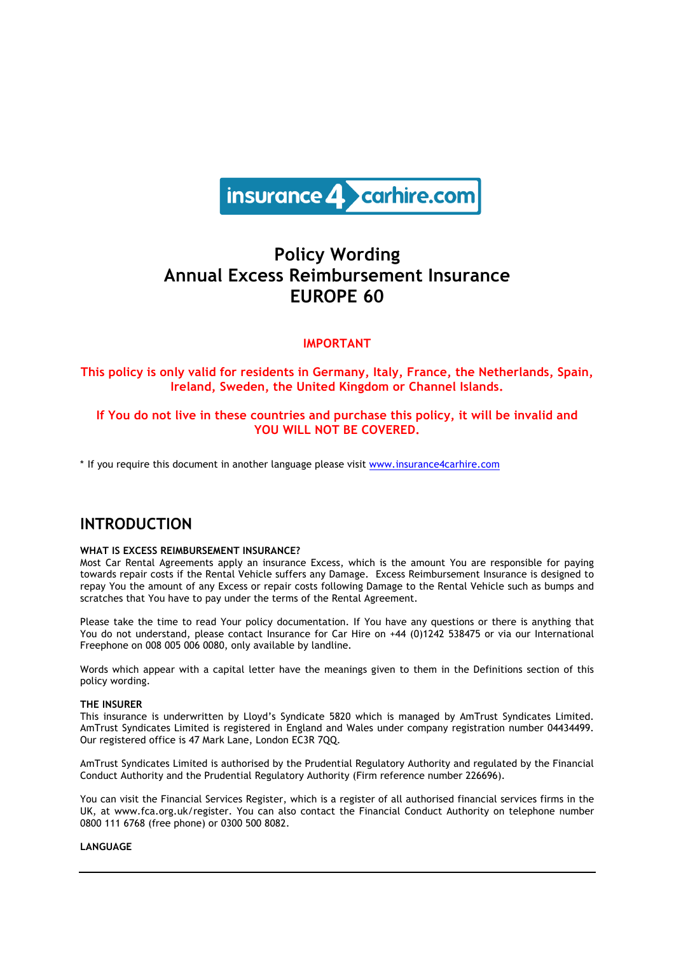

# **Policy Wording Annual Excess Reimbursement Insurance EUROPE 60**

## **IMPORTANT**

## **This policy is only valid for residents in Germany, Italy, France, the Netherlands, Spain, Ireland, Sweden, the United Kingdom or Channel Islands.**

## **If You do not live in these countries and purchase this policy, it will be invalid and YOU WILL NOT BE COVERED.**

\* If you require this document in another language please visit www.insurance4carhire.com

## **INTRODUCTION**

#### **WHAT IS EXCESS REIMBURSEMENT INSURANCE?**

Most Car Rental Agreements apply an insurance Excess, which is the amount You are responsible for paying towards repair costs if the Rental Vehicle suffers any Damage. Excess Reimbursement Insurance is designed to repay You the amount of any Excess or repair costs following Damage to the Rental Vehicle such as bumps and scratches that You have to pay under the terms of the Rental Agreement.

Please take the time to read Your policy documentation. If You have any questions or there is anything that You do not understand, please contact Insurance for Car Hire on +44 (0)1242 538475 or via our International Freephone on 008 005 006 0080, only available by landline.

Words which appear with a capital letter have the meanings given to them in the Definitions section of this policy wording.

#### **THE INSURER**

This insurance is underwritten by Lloyd's Syndicate 5820 which is managed by AmTrust Syndicates Limited. AmTrust Syndicates Limited is registered in England and Wales under company registration number 04434499. Our registered office is 47 Mark Lane, London EC3R 7QQ.

AmTrust Syndicates Limited is authorised by the Prudential Regulatory Authority and regulated by the Financial Conduct Authority and the Prudential Regulatory Authority (Firm reference number 226696).

You can visit the Financial Services Register, which is a register of all authorised financial services firms in the UK, at www.fca.org.uk/register. You can also contact the Financial Conduct Authority on telephone number 0800 111 6768 (free phone) or 0300 500 8082.

#### **LANGUAGE**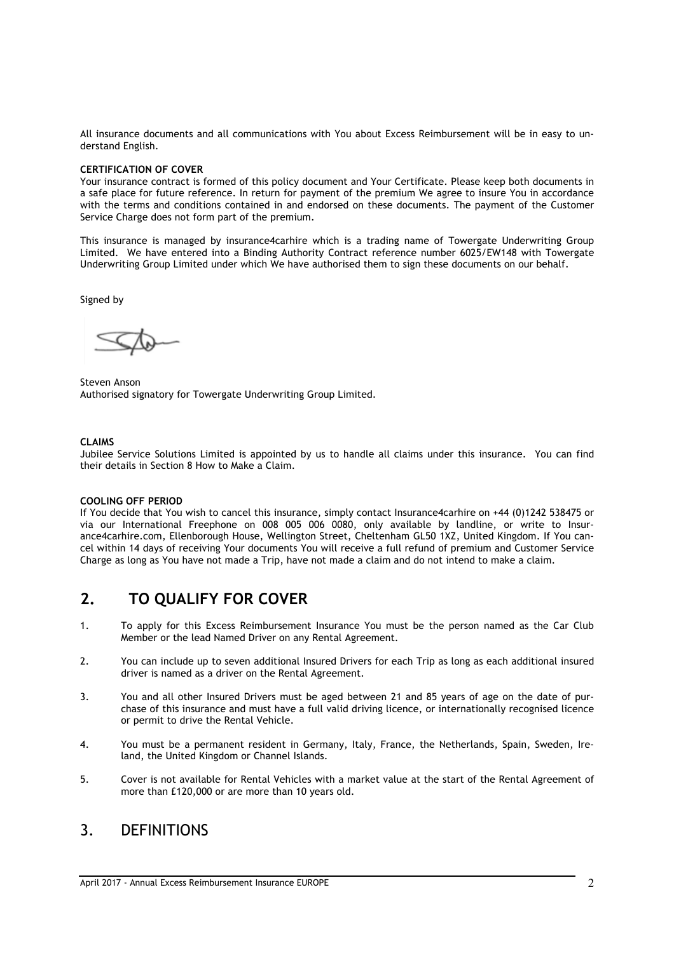All insurance documents and all communications with You about Excess Reimbursement will be in easy to understand English.

#### **CERTIFICATION OF COVER**

Your insurance contract is formed of this policy document and Your Certificate. Please keep both documents in a safe place for future reference. In return for payment of the premium We agree to insure You in accordance with the terms and conditions contained in and endorsed on these documents. The payment of the Customer Service Charge does not form part of the premium.

This insurance is managed by insurance4carhire which is a trading name of Towergate Underwriting Group Limited. We have entered into a Binding Authority Contract reference number 6025/EW148 with Towergate Underwriting Group Limited under which We have authorised them to sign these documents on our behalf.

Signed by

Steven Anson Authorised signatory for Towergate Underwriting Group Limited.

#### **CLAIMS**

Jubilee Service Solutions Limited is appointed by us to handle all claims under this insurance. You can find their details in Section 8 How to Make a Claim.

## **COOLING OFF PERIOD**

If You decide that You wish to cancel this insurance, simply contact Insurance4carhire on +44 (0)1242 538475 or via our International Freephone on 008 005 006 0080, only available by landline, or write to Insurance4carhire.com, Ellenborough House, Wellington Street, Cheltenham GL50 1XZ, United Kingdom. If You cancel within 14 days of receiving Your documents You will receive a full refund of premium and Customer Service Charge as long as You have not made a Trip, have not made a claim and do not intend to make a claim.

## **2. TO QUALIFY FOR COVER**

- 1. To apply for this Excess Reimbursement Insurance You must be the person named as the Car Club Member or the lead Named Driver on any Rental Agreement.
- 2. You can include up to seven additional Insured Drivers for each Trip as long as each additional insured driver is named as a driver on the Rental Agreement.
- 3. You and all other Insured Drivers must be aged between 21 and 85 years of age on the date of purchase of this insurance and must have a full valid driving licence, or internationally recognised licence or permit to drive the Rental Vehicle.
- 4. You must be a permanent resident in Germany, Italy, France, the Netherlands, Spain, Sweden, Ireland, the United Kingdom or Channel Islands.
- 5. Cover is not available for Rental Vehicles with a market value at the start of the Rental Agreement of more than £120,000 or are more than 10 years old.

## 3. DEFINITIONS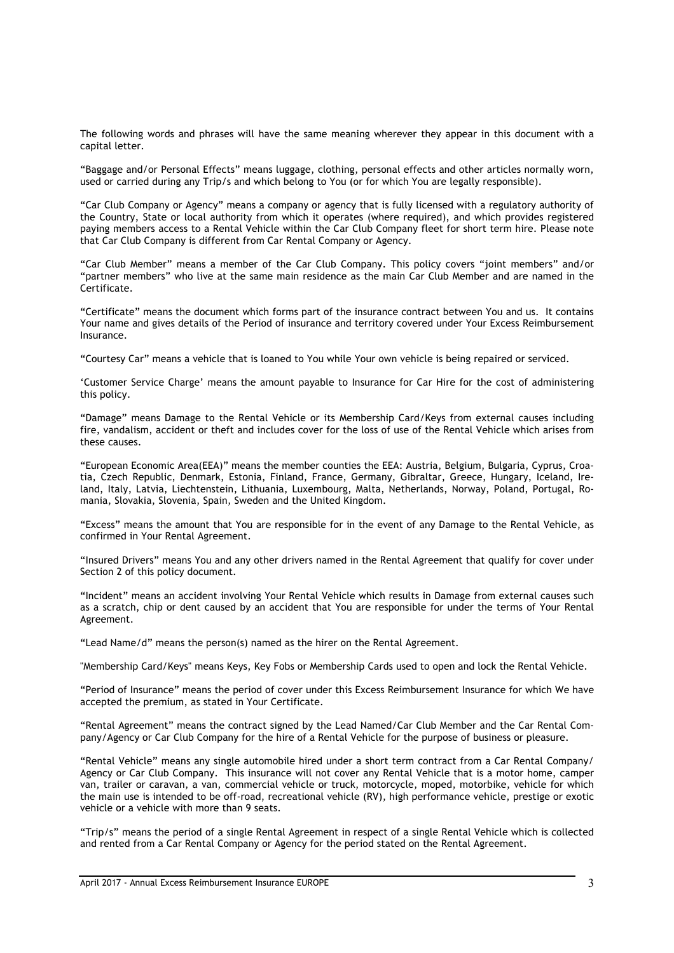The following words and phrases will have the same meaning wherever they appear in this document with a capital letter.

"Baggage and/or Personal Effects" means luggage, clothing, personal effects and other articles normally worn, used or carried during any Trip/s and which belong to You (or for which You are legally responsible).

"Car Club Company or Agency" means a company or agency that is fully licensed with a regulatory authority of the Country, State or local authority from which it operates (where required), and which provides registered paying members access to a Rental Vehicle within the Car Club Company fleet for short term hire. Please note that Car Club Company is different from Car Rental Company or Agency.

"Car Club Member" means a member of the Car Club Company. This policy covers "joint members" and/or "partner members" who live at the same main residence as the main Car Club Member and are named in the Certificate.

"Certificate" means the document which forms part of the insurance contract between You and us. It contains Your name and gives details of the Period of insurance and territory covered under Your Excess Reimbursement Insurance.

"Courtesy Car" means a vehicle that is loaned to You while Your own vehicle is being repaired or serviced.

'Customer Service Charge' means the amount payable to Insurance for Car Hire for the cost of administering this policy.

"Damage" means Damage to the Rental Vehicle or its Membership Card/Keys from external causes including fire, vandalism, accident or theft and includes cover for the loss of use of the Rental Vehicle which arises from these causes.

"European Economic Area(EEA)" means the member counties the EEA: Austria, Belgium, Bulgaria, Cyprus, Croatia, Czech Republic, Denmark, Estonia, Finland, France, Germany, Gibraltar, Greece, Hungary, Iceland, Ireland, Italy, Latvia, Liechtenstein, Lithuania, Luxembourg, Malta, Netherlands, Norway, Poland, Portugal, Romania, Slovakia, Slovenia, Spain, Sweden and the United Kingdom.

"Excess" means the amount that You are responsible for in the event of any Damage to the Rental Vehicle, as confirmed in Your Rental Agreement.

"Insured Drivers" means You and any other drivers named in the Rental Agreement that qualify for cover under Section 2 of this policy document.

"Incident" means an accident involving Your Rental Vehicle which results in Damage from external causes such as a scratch, chip or dent caused by an accident that You are responsible for under the terms of Your Rental Agreement.

"Lead Name/d" means the person(s) named as the hirer on the Rental Agreement.

"Membership Card/Keys" means Keys, Key Fobs or Membership Cards used to open and lock the Rental Vehicle.

"Period of Insurance" means the period of cover under this Excess Reimbursement Insurance for which We have accepted the premium, as stated in Your Certificate.

"Rental Agreement" means the contract signed by the Lead Named/Car Club Member and the Car Rental Company/Agency or Car Club Company for the hire of a Rental Vehicle for the purpose of business or pleasure.

"Rental Vehicle" means any single automobile hired under a short term contract from a Car Rental Company/ Agency or Car Club Company. This insurance will not cover any Rental Vehicle that is a motor home, camper van, trailer or caravan, a van, commercial vehicle or truck, motorcycle, moped, motorbike, vehicle for which the main use is intended to be off-road, recreational vehicle (RV), high performance vehicle, prestige or exotic vehicle or a vehicle with more than 9 seats.

"Trip/s" means the period of a single Rental Agreement in respect of a single Rental Vehicle which is collected and rented from a Car Rental Company or Agency for the period stated on the Rental Agreement.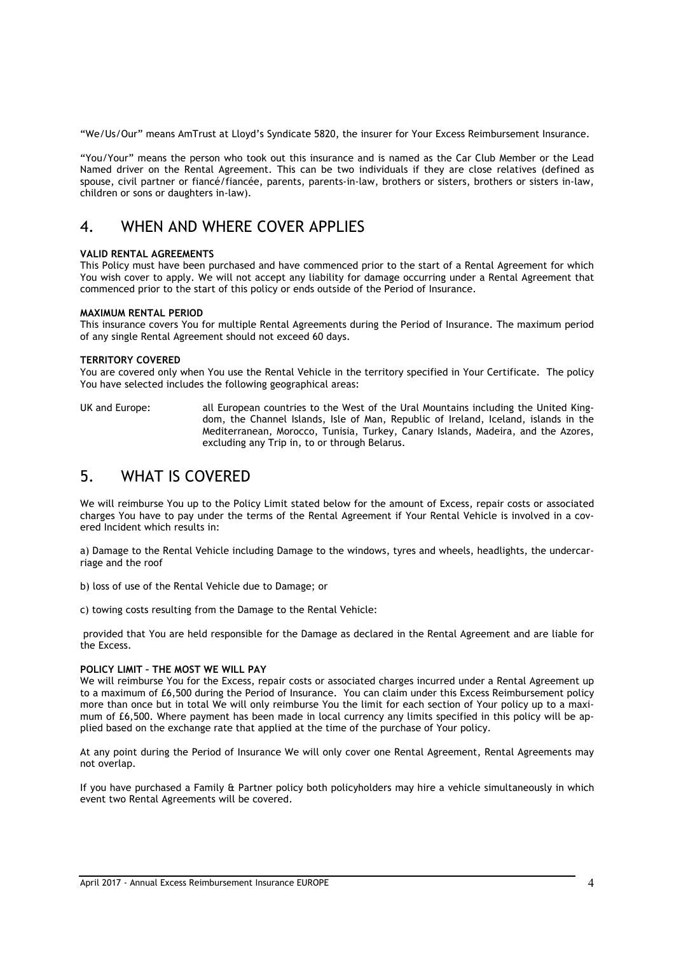"We/Us/Our" means AmTrust at Lloyd's Syndicate 5820, the insurer for Your Excess Reimbursement Insurance.

"You/Your" means the person who took out this insurance and is named as the Car Club Member or the Lead Named driver on the Rental Agreement. This can be two individuals if they are close relatives (defined as spouse, civil partner or fiancé/fiancée, parents, parents-in-law, brothers or sisters, brothers or sisters in-law, children or sons or daughters in-law).

# 4. WHEN AND WHERE COVER APPLIES

#### **VALID RENTAL AGREEMENTS**

This Policy must have been purchased and have commenced prior to the start of a Rental Agreement for which You wish cover to apply. We will not accept any liability for damage occurring under a Rental Agreement that commenced prior to the start of this policy or ends outside of the Period of Insurance.

#### **MAXIMUM RENTAL PERIOD**

This insurance covers You for multiple Rental Agreements during the Period of Insurance. The maximum period of any single Rental Agreement should not exceed 60 days.

#### **TERRITORY COVERED**

You are covered only when You use the Rental Vehicle in the territory specified in Your Certificate. The policy You have selected includes the following geographical areas:

UK and Europe: all European countries to the West of the Ural Mountains including the United Kingdom, the Channel Islands, Isle of Man, Republic of Ireland, Iceland, islands in the Mediterranean, Morocco, Tunisia, Turkey, Canary Islands, Madeira, and the Azores, excluding any Trip in, to or through Belarus.

# 5. WHAT IS COVERED

We will reimburse You up to the Policy Limit stated below for the amount of Excess, repair costs or associated charges You have to pay under the terms of the Rental Agreement if Your Rental Vehicle is involved in a covered Incident which results in:

a) Damage to the Rental Vehicle including Damage to the windows, tyres and wheels, headlights, the undercarriage and the roof

b) loss of use of the Rental Vehicle due to Damage; or

c) towing costs resulting from the Damage to the Rental Vehicle:

provided that You are held responsible for the Damage as declared in the Rental Agreement and are liable for the Excess.

#### **POLICY LIMIT – THE MOST WE WILL PAY**

We will reimburse You for the Excess, repair costs or associated charges incurred under a Rental Agreement up to a maximum of £6,500 during the Period of Insurance. You can claim under this Excess Reimbursement policy more than once but in total We will only reimburse You the limit for each section of Your policy up to a maximum of £6,500. Where payment has been made in local currency any limits specified in this policy will be applied based on the exchange rate that applied at the time of the purchase of Your policy.

At any point during the Period of Insurance We will only cover one Rental Agreement, Rental Agreements may not overlap.

If you have purchased a Family & Partner policy both policyholders may hire a vehicle simultaneously in which event two Rental Agreements will be covered.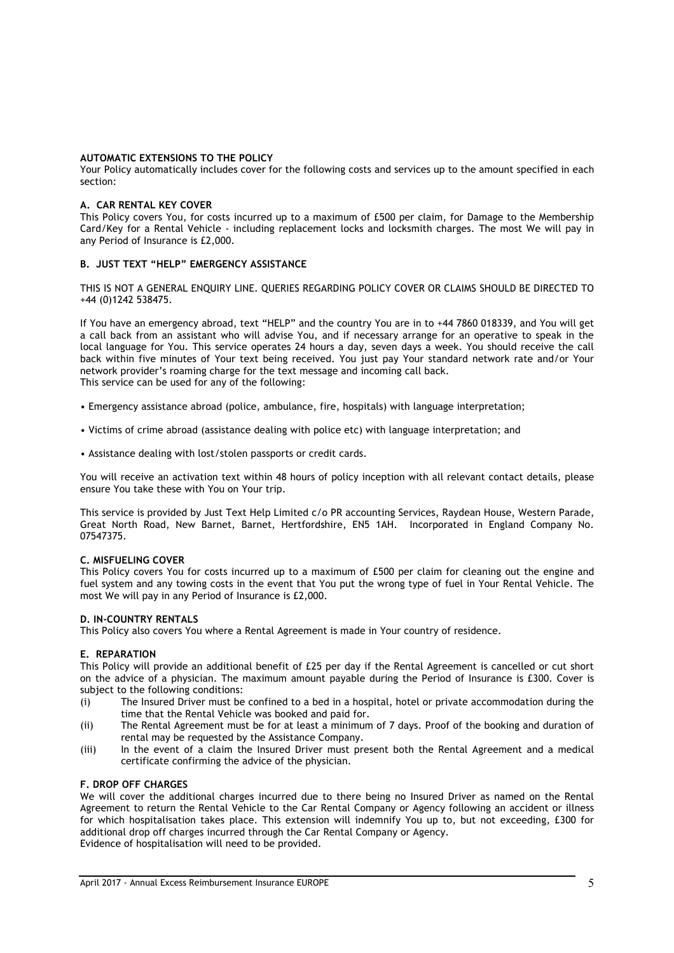#### **AUTOMATIC EXTENSIONS TO THE POLICY**

Your Policy automatically includes cover for the following costs and services up to the amount specified in each section:

#### **A. CAR RENTAL KEY COVER**

This Policy covers You, for costs incurred up to a maximum of £500 per claim, for Damage to the Membership Card/Key for a Rental Vehicle - including replacement locks and locksmith charges. The most We will pay in any Period of Insurance is £2,000.

## **B. JUST TEXT "HELP" EMERGENCY ASSISTANCE**

THIS IS NOT A GENERAL ENQUIRY LINE. QUERIES REGARDING POLICY COVER OR CLAIMS SHOULD BE DIRECTED TO +44 (0)1242 538475.

If You have an emergency abroad, text "HELP" and the country You are in to +44 7860 018339, and You will get a call back from an assistant who will advise You, and if necessary arrange for an operative to speak in the local language for You. This service operates 24 hours a day, seven days a week. You should receive the call back within five minutes of Your text being received. You just pay Your standard network rate and/or Your network provider's roaming charge for the text message and incoming call back. This service can be used for any of the following:

- Emergency assistance abroad (police, ambulance, fire, hospitals) with language interpretation;
- Victims of crime abroad (assistance dealing with police etc) with language interpretation; and
- Assistance dealing with lost/stolen passports or credit cards.

You will receive an activation text within 48 hours of policy inception with all relevant contact details, please ensure You take these with You on Your trip.

This service is provided by Just Text Help Limited c/o PR accounting Services, Raydean House, Western Parade, Great North Road, New Barnet, Barnet, Hertfordshire, EN5 1AH. Incorporated in England Company No. 07547375.

#### **C. MISFUELING COVER**

This Policy covers You for costs incurred up to a maximum of £500 per claim for cleaning out the engine and fuel system and any towing costs in the event that You put the wrong type of fuel in Your Rental Vehicle. The most We will pay in any Period of Insurance is £2,000.

#### **D. IN-COUNTRY RENTALS**

This Policy also covers You where a Rental Agreement is made in Your country of residence.

## **E. REPARATION**

This Policy will provide an additional benefit of £25 per day if the Rental Agreement is cancelled or cut short on the advice of a physician. The maximum amount payable during the Period of Insurance is £300. Cover is subject to the following conditions:

- (i) The Insured Driver must be confined to a bed in a hospital, hotel or private accommodation during the time that the Rental Vehicle was booked and paid for.
- (ii) The Rental Agreement must be for at least a minimum of 7 days. Proof of the booking and duration of rental may be requested by the Assistance Company.
- (iii) In the event of a claim the Insured Driver must present both the Rental Agreement and a medical certificate confirming the advice of the physician.

## **F. DROP OFF CHARGES**

We will cover the additional charges incurred due to there being no Insured Driver as named on the Rental Agreement to return the Rental Vehicle to the Car Rental Company or Agency following an accident or illness for which hospitalisation takes place. This extension will indemnify You up to, but not exceeding, £300 for additional drop off charges incurred through the Car Rental Company or Agency. Evidence of hospitalisation will need to be provided.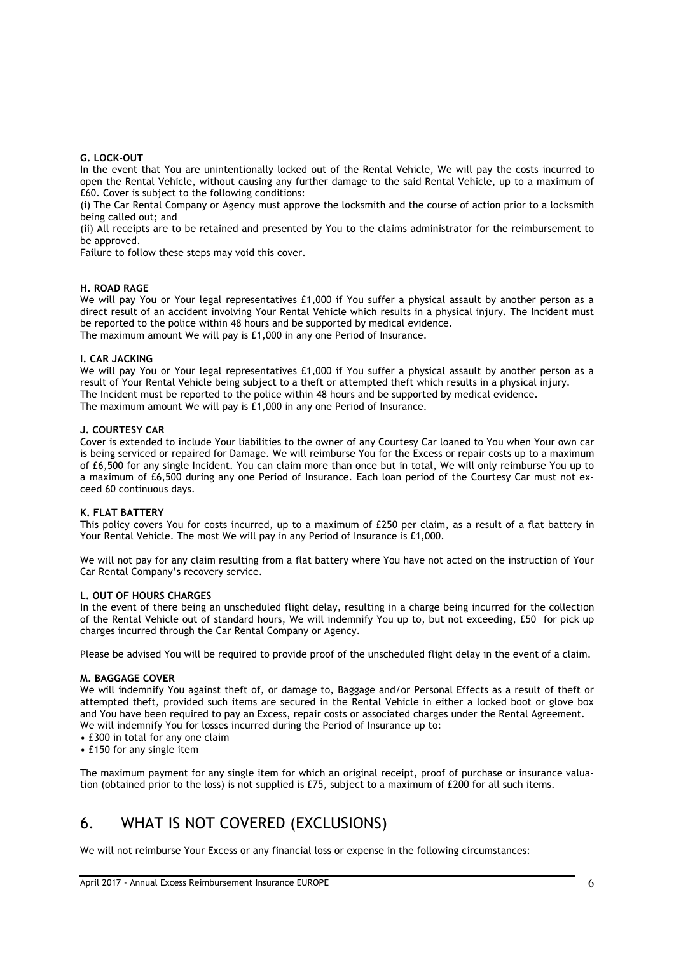#### **G. LOCK-OUT**

In the event that You are unintentionally locked out of the Rental Vehicle, We will pay the costs incurred to open the Rental Vehicle, without causing any further damage to the said Rental Vehicle, up to a maximum of £60. Cover is subject to the following conditions:

(i) The Car Rental Company or Agency must approve the locksmith and the course of action prior to a locksmith being called out; and

(ii) All receipts are to be retained and presented by You to the claims administrator for the reimbursement to be approved.

Failure to follow these steps may void this cover.

#### **H. ROAD RAGE**

We will pay You or Your legal representatives £1,000 if You suffer a physical assault by another person as a direct result of an accident involving Your Rental Vehicle which results in a physical injury. The Incident must be reported to the police within 48 hours and be supported by medical evidence. The maximum amount We will pay is £1,000 in any one Period of Insurance.

#### **I. CAR JACKING**

We will pay You or Your legal representatives £1,000 if You suffer a physical assault by another person as a result of Your Rental Vehicle being subject to a theft or attempted theft which results in a physical injury. The Incident must be reported to the police within 48 hours and be supported by medical evidence. The maximum amount We will pay is £1,000 in any one Period of Insurance.

#### **J. COURTESY CAR**

Cover is extended to include Your liabilities to the owner of any Courtesy Car loaned to You when Your own car is being serviced or repaired for Damage. We will reimburse You for the Excess or repair costs up to a maximum of £6,500 for any single Incident. You can claim more than once but in total, We will only reimburse You up to a maximum of £6,500 during any one Period of Insurance. Each loan period of the Courtesy Car must not exceed 60 continuous days.

#### **K. FLAT BATTERY**

This policy covers You for costs incurred, up to a maximum of £250 per claim, as a result of a flat battery in Your Rental Vehicle. The most We will pay in any Period of Insurance is £1,000.

We will not pay for any claim resulting from a flat battery where You have not acted on the instruction of Your Car Rental Company's recovery service.

#### **L. OUT OF HOURS CHARGES**

In the event of there being an unscheduled flight delay, resulting in a charge being incurred for the collection of the Rental Vehicle out of standard hours, We will indemnify You up to, but not exceeding, £50 for pick up charges incurred through the Car Rental Company or Agency.

Please be advised You will be required to provide proof of the unscheduled flight delay in the event of a claim.

#### **M. BAGGAGE COVER**

We will indemnify You against theft of, or damage to, Baggage and/or Personal Effects as a result of theft or attempted theft, provided such items are secured in the Rental Vehicle in either a locked boot or glove box and You have been required to pay an Excess, repair costs or associated charges under the Rental Agreement. We will indemnify You for losses incurred during the Period of Insurance up to:

- £300 in total for any one claim
- £150 for any single item

The maximum payment for any single item for which an original receipt, proof of purchase or insurance valuation (obtained prior to the loss) is not supplied is £75, subject to a maximum of £200 for all such items.

# 6. WHAT IS NOT COVERED (EXCLUSIONS)

We will not reimburse Your Excess or any financial loss or expense in the following circumstances: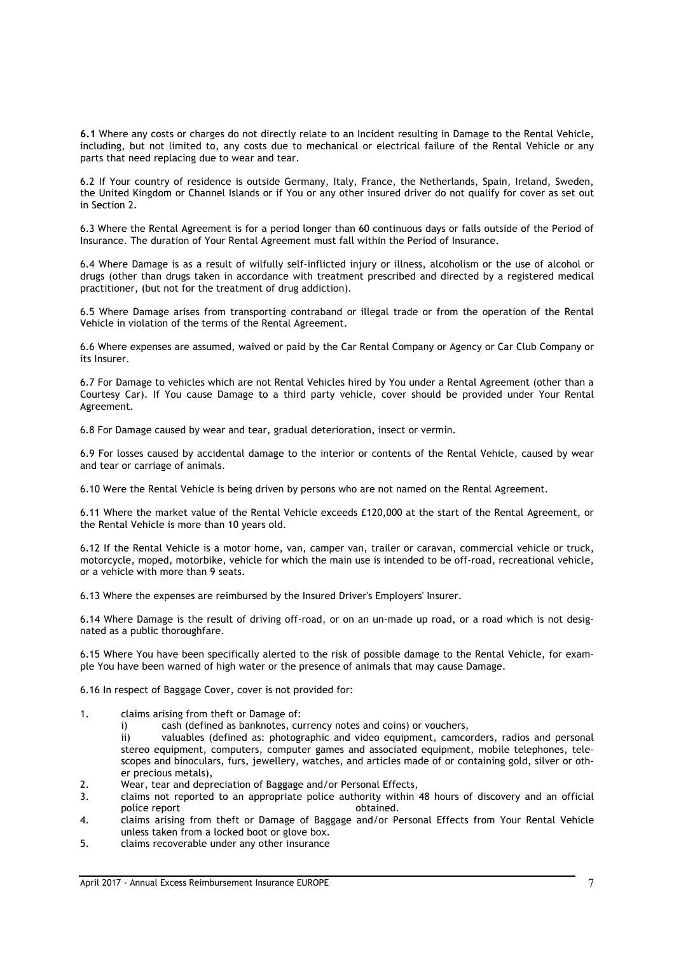**6.1** Where any costs or charges do not directly relate to an Incident resulting in Damage to the Rental Vehicle, including, but not limited to, any costs due to mechanical or electrical failure of the Rental Vehicle or any parts that need replacing due to wear and tear.

6.2 If Your country of residence is outside Germany, Italy, France, the Netherlands, Spain, Ireland, Sweden, the United Kingdom or Channel Islands or if You or any other insured driver do not qualify for cover as set out in Section 2.

6.3 Where the Rental Agreement is for a period longer than 60 continuous days or falls outside of the Period of Insurance. The duration of Your Rental Agreement must fall within the Period of Insurance.

6.4 Where Damage is as a result of wilfully self-inflicted injury or illness, alcoholism or the use of alcohol or drugs (other than drugs taken in accordance with treatment prescribed and directed by a registered medical practitioner, (but not for the treatment of drug addiction).

6.5 Where Damage arises from transporting contraband or illegal trade or from the operation of the Rental Vehicle in violation of the terms of the Rental Agreement.

6.6 Where expenses are assumed, waived or paid by the Car Rental Company or Agency or Car Club Company or its Insurer.

6.7 For Damage to vehicles which are not Rental Vehicles hired by You under a Rental Agreement (other than a Courtesy Car). If You cause Damage to a third party vehicle, cover should be provided under Your Rental Agreement.

6.8 For Damage caused by wear and tear, gradual deterioration, insect or vermin.

6.9 For losses caused by accidental damage to the interior or contents of the Rental Vehicle, caused by wear and tear or carriage of animals.

6.10 Were the Rental Vehicle is being driven by persons who are not named on the Rental Agreement.

6.11 Where the market value of the Rental Vehicle exceeds £120,000 at the start of the Rental Agreement, or the Rental Vehicle is more than 10 years old.

6.12 If the Rental Vehicle is a motor home, van, camper van, trailer or caravan, commercial vehicle or truck, motorcycle, moped, motorbike, vehicle for which the main use is intended to be off-road, recreational vehicle, or a vehicle with more than 9 seats.

6.13 Where the expenses are reimbursed by the Insured Driver's Employers' Insurer.

6.14 Where Damage is the result of driving off-road, or on an un-made up road, or a road which is not designated as a public thoroughfare.

6.15 Where You have been specifically alerted to the risk of possible damage to the Rental Vehicle, for example You have been warned of high water or the presence of animals that may cause Damage.

6.16 In respect of Baggage Cover, cover is not provided for:

- 1. claims arising from theft or Damage of:
	- i) cash (defined as banknotes, currency notes and coins) or vouchers,

ii) valuables (defined as: photographic and video equipment, camcorders, radios and personal stereo equipment, computers, computer games and associated equipment, mobile telephones, telescopes and binoculars, furs, jewellery, watches, and articles made of or containing gold, silver or other precious metals),

- 2. Wear, tear and depreciation of Baggage and/or Personal Effects,
- 3. claims not reported to an appropriate police authority within 48 hours of discovery and an official police report and the contract obtained.
- 4. claims arising from theft or Damage of Baggage and/or Personal Effects from Your Rental Vehicle unless taken from a locked boot or glove box.
- 5. claims recoverable under any other insurance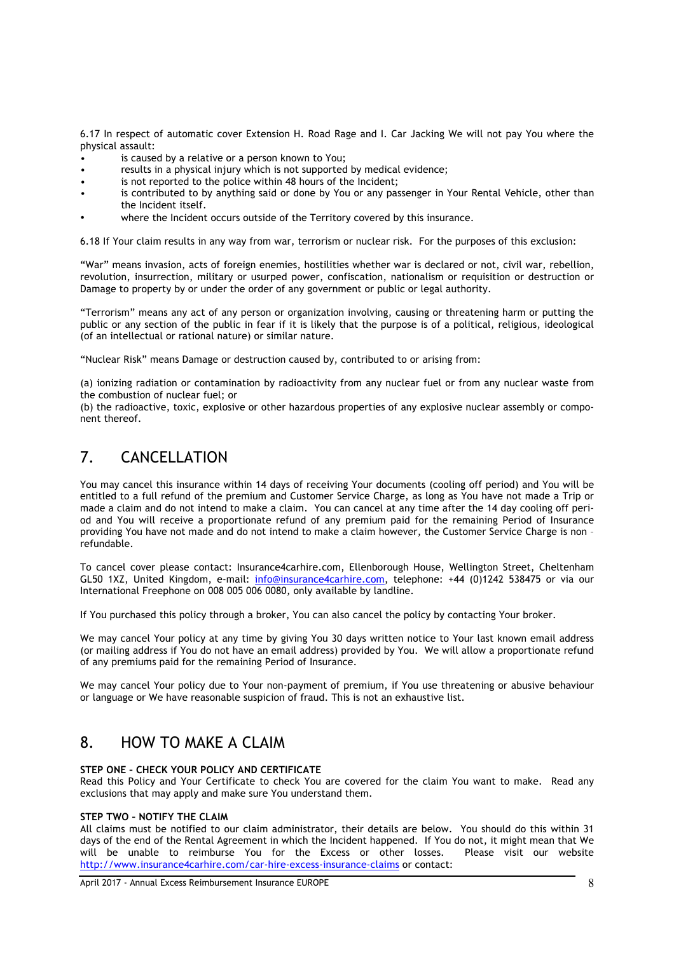6.17 In respect of automatic cover Extension H. Road Rage and I. Car Jacking We will not pay You where the physical assault:

- is caused by a relative or a person known to You;
- results in a physical injury which is not supported by medical evidence;
- is not reported to the police within 48 hours of the Incident:
- is contributed to by anything said or done by You or any passenger in Your Rental Vehicle, other than the Incident itself.
- where the Incident occurs outside of the Territory covered by this insurance.

6.18 If Your claim results in any way from war, terrorism or nuclear risk. For the purposes of this exclusion:

"War" means invasion, acts of foreign enemies, hostilities whether war is declared or not, civil war, rebellion, revolution, insurrection, military or usurped power, confiscation, nationalism or requisition or destruction or Damage to property by or under the order of any government or public or legal authority.

"Terrorism" means any act of any person or organization involving, causing or threatening harm or putting the public or any section of the public in fear if it is likely that the purpose is of a political, religious, ideological (of an intellectual or rational nature) or similar nature.

"Nuclear Risk" means Damage or destruction caused by, contributed to or arising from:

(a) ionizing radiation or contamination by radioactivity from any nuclear fuel or from any nuclear waste from the combustion of nuclear fuel; or

(b) the radioactive, toxic, explosive or other hazardous properties of any explosive nuclear assembly or component thereof.

# 7. CANCELLATION

You may cancel this insurance within 14 days of receiving Your documents (cooling off period) and You will be entitled to a full refund of the premium and Customer Service Charge, as long as You have not made a Trip or made a claim and do not intend to make a claim. You can cancel at any time after the 14 day cooling off period and You will receive a proportionate refund of any premium paid for the remaining Period of Insurance providing You have not made and do not intend to make a claim however, the Customer Service Charge is non – refundable.

To cancel cover please contact: Insurance4carhire.com, Ellenborough House, Wellington Street, Cheltenham GL50 1XZ, United Kingdom, e-mail: info@insurance4carhire.com, telephone: +44 (0)1242 538475 or via our International Freephone on 008 005 006 0080, only available by landline.

If You purchased this policy through a broker, You can also cancel the policy by contacting Your broker.

We may cancel Your policy at any time by giving You 30 days written notice to Your last known email address (or mailing address if You do not have an email address) provided by You. We will allow a proportionate refund of any premiums paid for the remaining Period of Insurance.

We may cancel Your policy due to Your non-payment of premium, if You use threatening or abusive behaviour or language or We have reasonable suspicion of fraud. This is not an exhaustive list.

## 8. HOW TO MAKE A CLAIM

## **STEP ONE – CHECK YOUR POLICY AND CERTIFICATE**

Read this Policy and Your Certificate to check You are covered for the claim You want to make. Read any exclusions that may apply and make sure You understand them.

## **STEP TWO – NOTIFY THE CLAIM**

All claims must be notified to our claim administrator, their details are below. You should do this within 31 days of the end of the Rental Agreement in which the Incident happened. If You do not, it might mean that We will be unable to reimburse You for the Excess or other losses. Please visit our website http://www.insurance4carhire.com/car-hire-excess-insurance-claims or contact: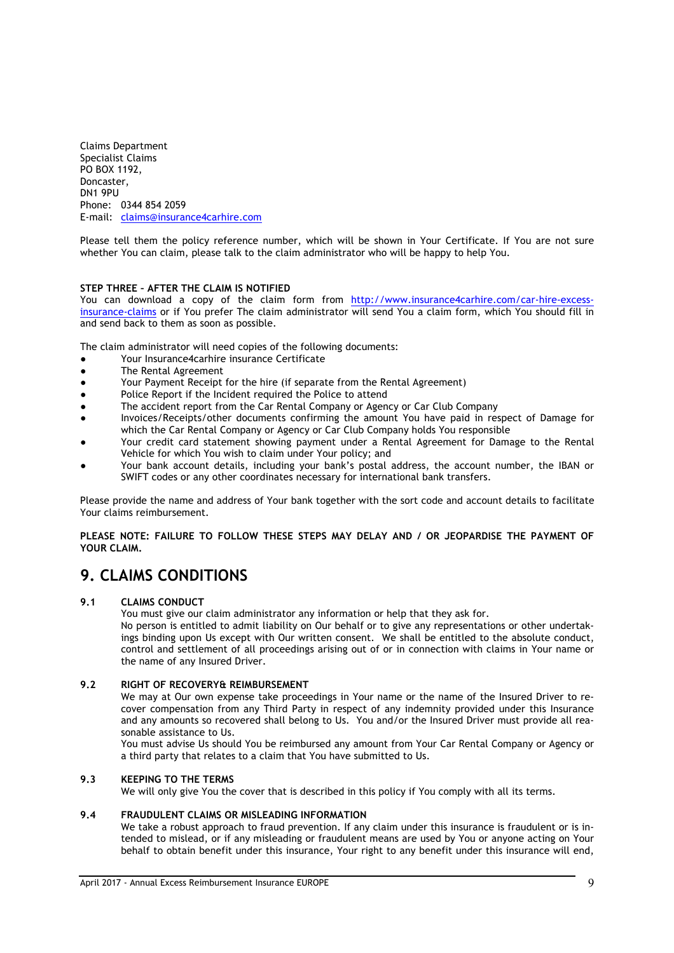Claims Department Specialist Claims PO BOX 1192, Doncaster, DN1 9PU Phone: 0344 854 2059 E-mail: claims@insurance4carhire.com

Please tell them the policy reference number, which will be shown in Your Certificate. If You are not sure whether You can claim, please talk to the claim administrator who will be happy to help You.

## **STEP THREE – AFTER THE CLAIM IS NOTIFIED**

You can download a copy of the claim form from http://www.insurance4carhire.com/car-hire-excessinsurance-claims or if You prefer The claim administrator will send You a claim form, which You should fill in and send back to them as soon as possible.

The claim administrator will need copies of the following documents:

- Your Insurance4carhire insurance Certificate
- The Rental Agreement
- Your Payment Receipt for the hire (if separate from the Rental Agreement)
- Police Report if the Incident required the Police to attend
- The accident report from the Car Rental Company or Agency or Car Club Company
- Invoices/Receipts/other documents confirming the amount You have paid in respect of Damage for which the Car Rental Company or Agency or Car Club Company holds You responsible
- Your credit card statement showing payment under a Rental Agreement for Damage to the Rental Vehicle for which You wish to claim under Your policy; and
- Your bank account details, including your bank's postal address, the account number, the IBAN or SWIFT codes or any other coordinates necessary for international bank transfers.

Please provide the name and address of Your bank together with the sort code and account details to facilitate Your claims reimbursement.

**PLEASE NOTE: FAILURE TO FOLLOW THESE STEPS MAY DELAY AND / OR JEOPARDISE THE PAYMENT OF YOUR CLAIM.**

# **9. CLAIMS CONDITIONS**

## **9.1 CLAIMS CONDUCT**

You must give our claim administrator any information or help that they ask for.

No person is entitled to admit liability on Our behalf or to give any representations or other undertakings binding upon Us except with Our written consent. We shall be entitled to the absolute conduct, control and settlement of all proceedings arising out of or in connection with claims in Your name or the name of any Insured Driver.

#### **9.2 RIGHT OF RECOVERY& REIMBURSEMENT**

We may at Our own expense take proceedings in Your name or the name of the Insured Driver to recover compensation from any Third Party in respect of any indemnity provided under this Insurance and any amounts so recovered shall belong to Us. You and/or the Insured Driver must provide all reasonable assistance to Us.

You must advise Us should You be reimbursed any amount from Your Car Rental Company or Agency or a third party that relates to a claim that You have submitted to Us.

## **9.3 KEEPING TO THE TERMS**

We will only give You the cover that is described in this policy if You comply with all its terms.

#### **9.4 FRAUDULENT CLAIMS OR MISLEADING INFORMATION**

We take a robust approach to fraud prevention. If any claim under this insurance is fraudulent or is intended to mislead, or if any misleading or fraudulent means are used by You or anyone acting on Your behalf to obtain benefit under this insurance, Your right to any benefit under this insurance will end,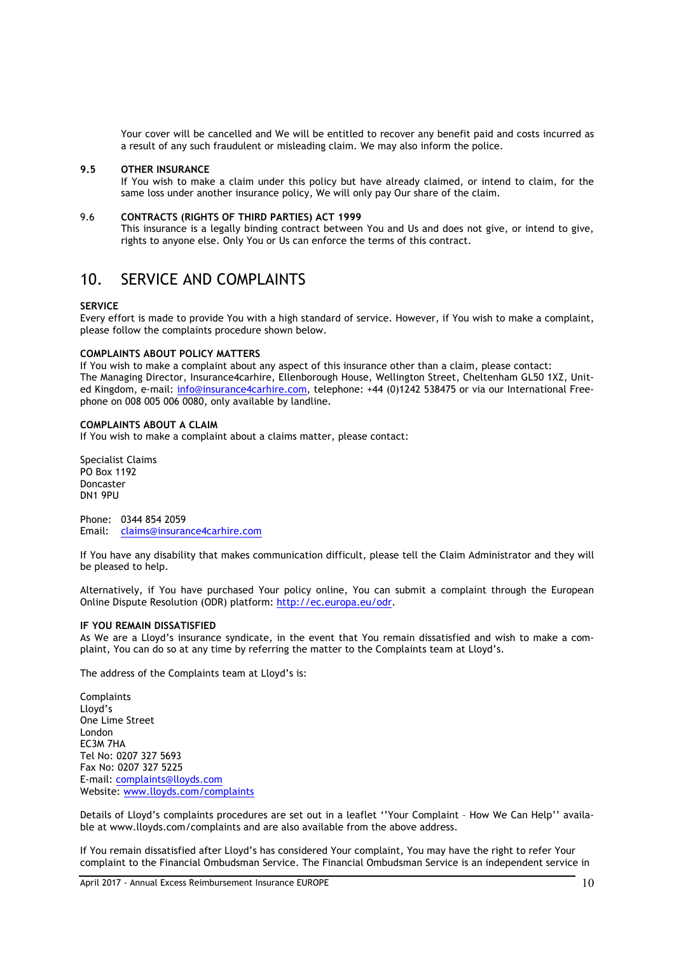Your cover will be cancelled and We will be entitled to recover any benefit paid and costs incurred as a result of any such fraudulent or misleading claim. We may also inform the police.

#### **9.5 OTHER INSURANCE**

If You wish to make a claim under this policy but have already claimed, or intend to claim, for the same loss under another insurance policy, We will only pay Our share of the claim.

## 9.6 **CONTRACTS (RIGHTS OF THIRD PARTIES) ACT 1999**

This insurance is a legally binding contract between You and Us and does not give, or intend to give, rights to anyone else. Only You or Us can enforce the terms of this contract.

## 10. SERVICE AND COMPLAINTS

## **SERVICE**

Every effort is made to provide You with a high standard of service. However, if You wish to make a complaint, please follow the complaints procedure shown below.

#### **COMPLAINTS ABOUT POLICY MATTERS**

If You wish to make a complaint about any aspect of this insurance other than a claim, please contact: The Managing Director, Insurance4carhire, Ellenborough House, Wellington Street, Cheltenham GL50 1XZ, United Kingdom, e-mail: info@insurance4carhire.com, telephone: +44 (0)1242 538475 or via our International Freephone on 008 005 006 0080, only available by landline.

## **COMPLAINTS ABOUT A CLAIM**

If You wish to make a complaint about a claims matter, please contact:

Specialist Claims PO Box 1192 Doncaster DN1 9PU

Phone: 0344 854 2059 Email: claims@insurance4carhire.com

If You have any disability that makes communication difficult, please tell the Claim Administrator and they will be pleased to help.

Alternatively, if You have purchased Your policy online, You can submit a complaint through the European Online Dispute Resolution (ODR) platform: http://ec.europa.eu/odr.

#### **IF YOU REMAIN DISSATISFIED**

As We are a Lloyd's insurance syndicate, in the event that You remain dissatisfied and wish to make a complaint, You can do so at any time by referring the matter to the Complaints team at Lloyd's.

The address of the Complaints team at Lloyd's is:

**Complaints** Lloyd's One Lime Street London EC3M 7HA Tel No: 0207 327 5693 Fax No: 0207 327 5225 E-mail: complaints@lloyds.com Website: www.lloyds.com/complaints

Details of Lloyd's complaints procedures are set out in a leaflet ''Your Complaint – How We Can Help'' available at www.lloyds.com/complaints and are also available from the above address.

If You remain dissatisfied after Lloyd's has considered Your complaint, You may have the right to refer Your complaint to the Financial Ombudsman Service. The Financial Ombudsman Service is an independent service in